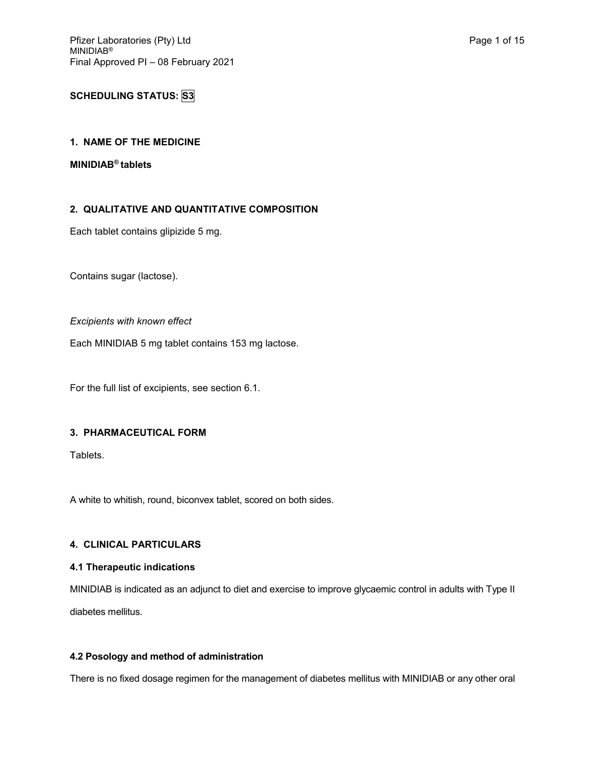# **SCHEDULING STATUS: S3**

## **1. NAME OF THE MEDICINE**

#### **MINIDIAB® tablets**

## **2. QUALITATIVE AND QUANTITATIVE COMPOSITION**

Each tablet contains glipizide 5 mg.

Contains sugar (lactose).

### *Excipients with known effect*

Each MINIDIAB 5 mg tablet contains 153 mg lactose.

For the full list of excipients, see section 6.1.

## **3. PHARMACEUTICAL FORM**

Tablets.

A white to whitish, round, biconvex tablet, scored on both sides.

## **4. CLINICAL PARTICULARS**

## **4.1 Therapeutic indications**

MINIDIAB is indicated as an adjunct to diet and exercise to improve glycaemic control in adults with Type II diabetes mellitus.

### **4.2 Posology and method of administration**

There is no fixed dosage regimen for the management of diabetes mellitus with MINIDIAB or any other oral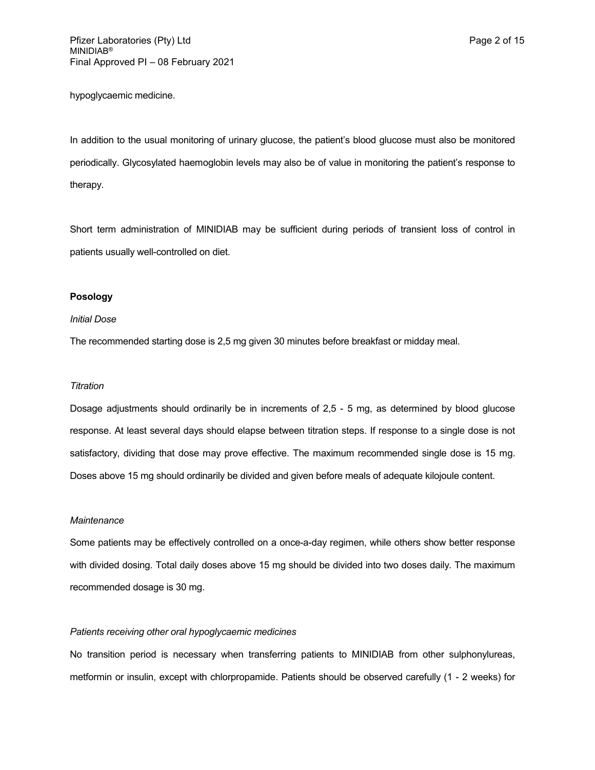hypoglycaemic medicine.

In addition to the usual monitoring of urinary glucose, the patient's blood glucose must also be monitored periodically. Glycosylated haemoglobin levels may also be of value in monitoring the patient's response to therapy.

Short term administration of MINIDIAB may be sufficient during periods of transient loss of control in patients usually well-controlled on diet.

#### **Posology**

#### *Initial Dose*

The recommended starting dose is 2,5 mg given 30 minutes before breakfast or midday meal.

#### *Titration*

Dosage adjustments should ordinarily be in increments of 2,5 - 5 mg, as determined by blood glucose response. At least several days should elapse between titration steps. If response to a single dose is not satisfactory, dividing that dose may prove effective. The maximum recommended single dose is 15 mg. Doses above 15 mg should ordinarily be divided and given before meals of adequate kilojoule content.

### *Maintenance*

Some patients may be effectively controlled on a once-a-day regimen, while others show better response with divided dosing. Total daily doses above 15 mg should be divided into two doses daily. The maximum recommended dosage is 30 mg.

#### *Patients receiving other oral hypoglycaemic medicines*

No transition period is necessary when transferring patients to MINIDIAB from other sulphonylureas, metformin or insulin, except with chlorpropamide. Patients should be observed carefully (1 - 2 weeks) for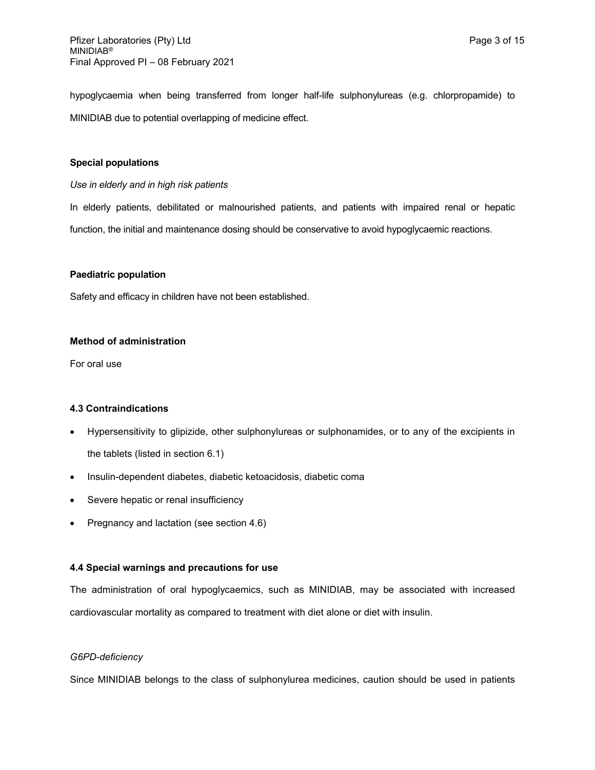hypoglycaemia when being transferred from longer half-life sulphonylureas (e.g. chlorpropamide) to MINIDIAB due to potential overlapping of medicine effect.

#### **Special populations**

#### *Use in elderly and in high risk patients*

In elderly patients, debilitated or malnourished patients, and patients with impaired renal or hepatic function, the initial and maintenance dosing should be conservative to avoid hypoglycaemic reactions.

#### **Paediatric population**

Safety and efficacy in children have not been established.

## **Method of administration**

For oral use

### **4.3 Contraindications**

- Hypersensitivity to glipizide, other sulphonylureas or sulphonamides, or to any of the excipients in the tablets (listed in section 6.1)
- Insulin-dependent diabetes, diabetic ketoacidosis, diabetic coma
- Severe hepatic or renal insufficiency
- Pregnancy and lactation (see section 4.6)

#### **4.4 Special warnings and precautions for use**

The administration of oral hypoglycaemics, such as MINIDIAB, may be associated with increased cardiovascular mortality as compared to treatment with diet alone or diet with insulin.

#### *G6PD-deficiency*

Since MINIDIAB belongs to the class of sulphonylurea medicines, caution should be used in patients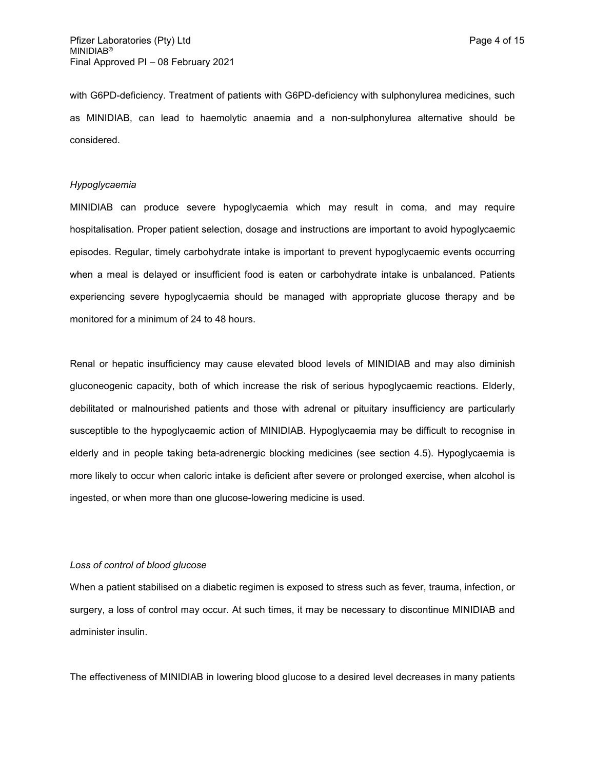with G6PD-deficiency. Treatment of patients with G6PD-deficiency with sulphonylurea medicines, such as MINIDIAB, can lead to haemolytic anaemia and a non-sulphonylurea alternative should be considered.

#### *Hypoglycaemia*

MINIDIAB can produce severe hypoglycaemia which may result in coma, and may require hospitalisation. Proper patient selection, dosage and instructions are important to avoid hypoglycaemic episodes. Regular, timely carbohydrate intake is important to prevent hypoglycaemic events occurring when a meal is delayed or insufficient food is eaten or carbohydrate intake is unbalanced. Patients experiencing severe hypoglycaemia should be managed with appropriate glucose therapy and be monitored for a minimum of 24 to 48 hours.

Renal or hepatic insufficiency may cause elevated blood levels of MINIDIAB and may also diminish gluconeogenic capacity, both of which increase the risk of serious hypoglycaemic reactions. Elderly, debilitated or malnourished patients and those with adrenal or pituitary insufficiency are particularly susceptible to the hypoglycaemic action of MINIDIAB. Hypoglycaemia may be difficult to recognise in elderly and in people taking beta-adrenergic blocking medicines (see section 4.5). Hypoglycaemia is more likely to occur when caloric intake is deficient after severe or prolonged exercise, when alcohol is ingested, or when more than one glucose-lowering medicine is used.

#### *Loss of control of blood glucose*

When a patient stabilised on a diabetic regimen is exposed to stress such as fever, trauma, infection, or surgery, a loss of control may occur. At such times, it may be necessary to discontinue MINIDIAB and administer insulin.

The effectiveness of MINIDIAB in lowering blood glucose to a desired level decreases in many patients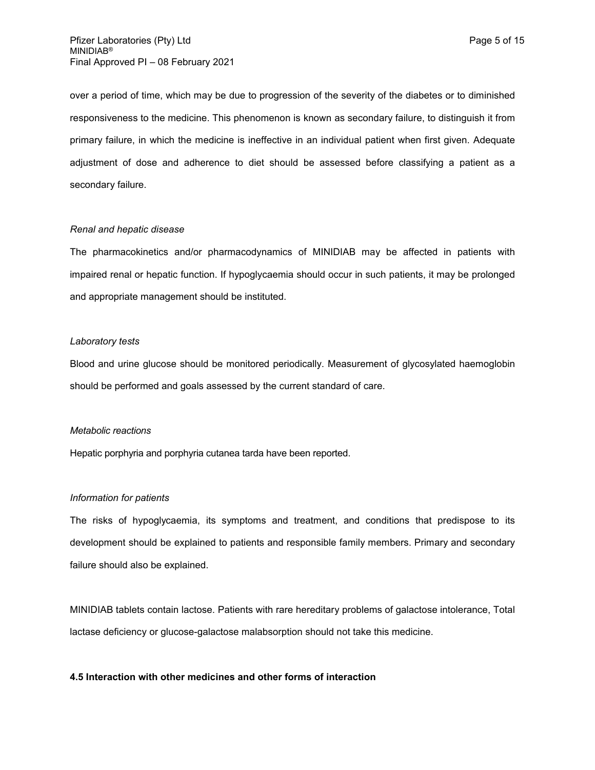over a period of time, which may be due to progression of the severity of the diabetes or to diminished responsiveness to the medicine. This phenomenon is known as secondary failure, to distinguish it from primary failure, in which the medicine is ineffective in an individual patient when first given. Adequate adjustment of dose and adherence to diet should be assessed before classifying a patient as a secondary failure.

#### *Renal and hepatic disease*

The pharmacokinetics and/or pharmacodynamics of MINIDIAB may be affected in patients with impaired renal or hepatic function. If hypoglycaemia should occur in such patients, it may be prolonged and appropriate management should be instituted.

#### *Laboratory tests*

Blood and urine glucose should be monitored periodically. Measurement of glycosylated haemoglobin should be performed and goals assessed by the current standard of care.

#### *Metabolic reactions*

Hepatic porphyria and porphyria cutanea tarda have been reported.

#### *Information for patients*

The risks of hypoglycaemia, its symptoms and treatment, and conditions that predispose to its development should be explained to patients and responsible family members. Primary and secondary failure should also be explained.

MINIDIAB tablets contain lactose. Patients with rare hereditary problems of galactose intolerance, Total lactase deficiency or glucose-galactose malabsorption should not take this medicine.

#### **4.5 Interaction with other medicines and other forms of interaction**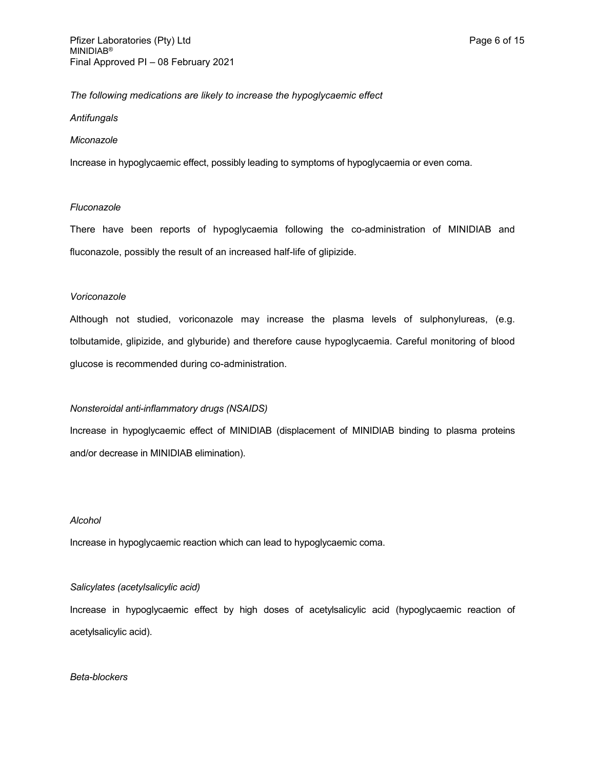## *The following medications are likely to increase the hypoglycaemic effect*

#### *Antifungals*

#### *Miconazole*

Increase in hypoglycaemic effect, possibly leading to symptoms of hypoglycaemia or even coma.

#### *Fluconazole*

There have been reports of hypoglycaemia following the co-administration of MINIDIAB and fluconazole, possibly the result of an increased half-life of glipizide.

#### *Voriconazole*

Although not studied, voriconazole may increase the plasma levels of sulphonylureas, (e.g. tolbutamide, glipizide, and glyburide) and therefore cause hypoglycaemia. Careful monitoring of blood glucose is recommended during co-administration.

### *Nonsteroidal anti-inflammatory drugs (NSAIDS)*

Increase in hypoglycaemic effect of MINIDIAB (displacement of MINIDIAB binding to plasma proteins and/or decrease in MINIDIAB elimination).

### *Alcohol*

Increase in hypoglycaemic reaction which can lead to hypoglycaemic coma.

#### *Salicylates (acetylsalicylic acid)*

Increase in hypoglycaemic effect by high doses of acetylsalicylic acid (hypoglycaemic reaction of acetylsalicylic acid).

#### *Beta-blockers*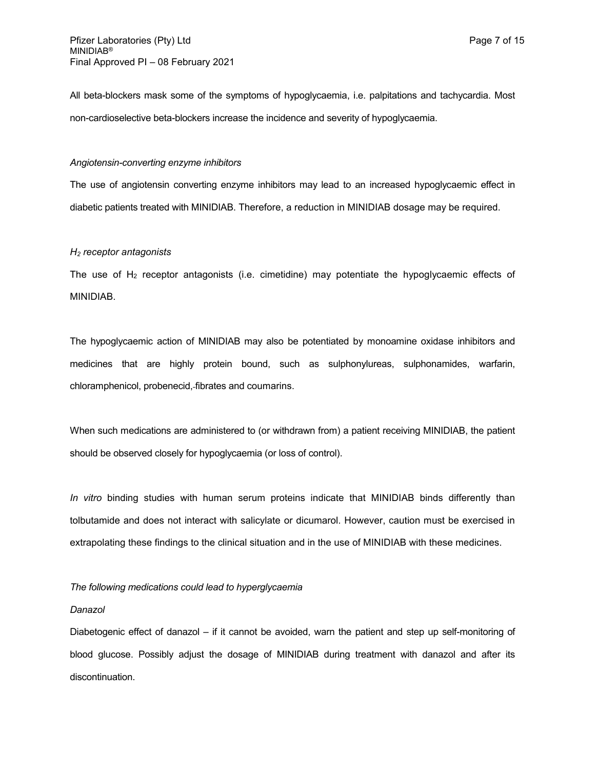All beta-blockers mask some of the symptoms of hypoglycaemia, i.e. palpitations and tachycardia. Most non-cardioselective beta-blockers increase the incidence and severity of hypoglycaemia.

#### *Angiotensin-converting enzyme inhibitors*

The use of angiotensin converting enzyme inhibitors may lead to an increased hypoglycaemic effect in diabetic patients treated with MINIDIAB. Therefore, a reduction in MINIDIAB dosage may be required.

#### *H<sup>2</sup> receptor antagonists*

The use of  $H_2$  receptor antagonists (i.e. cimetidine) may potentiate the hypoglycaemic effects of MINIDIAB.

The hypoglycaemic action of MINIDIAB may also be potentiated by monoamine oxidase inhibitors and medicines that are highly protein bound, such as sulphonylureas, sulphonamides, warfarin, chloramphenicol, probenecid, fibrates and coumarins.

When such medications are administered to (or withdrawn from) a patient receiving MINIDIAB, the patient should be observed closely for hypoglycaemia (or loss of control).

*In vitro* binding studies with human serum proteins indicate that MINIDIAB binds differently than tolbutamide and does not interact with salicylate or dicumarol. However, caution must be exercised in extrapolating these findings to the clinical situation and in the use of MINIDIAB with these medicines.

#### *The following medications could lead to hyperglycaemia*

#### *Danazol*

Diabetogenic effect of danazol – if it cannot be avoided, warn the patient and step up self-monitoring of blood glucose. Possibly adjust the dosage of MINIDIAB during treatment with danazol and after its discontinuation.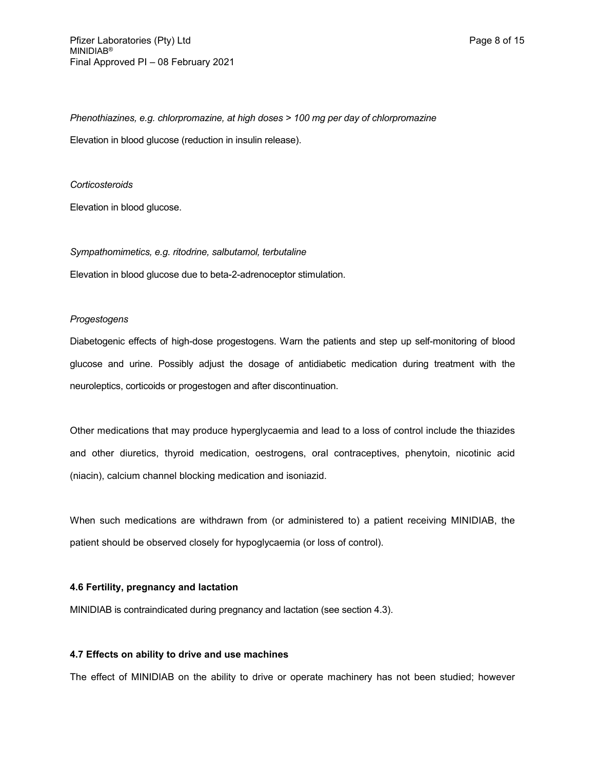*Phenothiazines, e.g. chlorpromazine, at high doses > 100 mg per day of chlorpromazine* Elevation in blood glucose (reduction in insulin release).

#### *Corticosteroids*

Elevation in blood glucose.

*Sympathomimetics, e.g. ritodrine, salbutamol, terbutaline*

Elevation in blood glucose due to beta-2-adrenoceptor stimulation.

#### *Progestogens*

Diabetogenic effects of high-dose progestogens. Warn the patients and step up self-monitoring of blood glucose and urine. Possibly adjust the dosage of antidiabetic medication during treatment with the neuroleptics, corticoids or progestogen and after discontinuation.

Other medications that may produce hyperglycaemia and lead to a loss of control include the thiazides and other diuretics, thyroid medication, oestrogens, oral contraceptives, phenytoin, nicotinic acid (niacin), calcium channel blocking medication and isoniazid.

When such medications are withdrawn from (or administered to) a patient receiving MINIDIAB, the patient should be observed closely for hypoglycaemia (or loss of control).

#### **4.6 Fertility, pregnancy and lactation**

MINIDIAB is contraindicated during pregnancy and lactation (see section 4.3).

#### **4.7 Effects on ability to drive and use machines**

The effect of MINIDIAB on the ability to drive or operate machinery has not been studied; however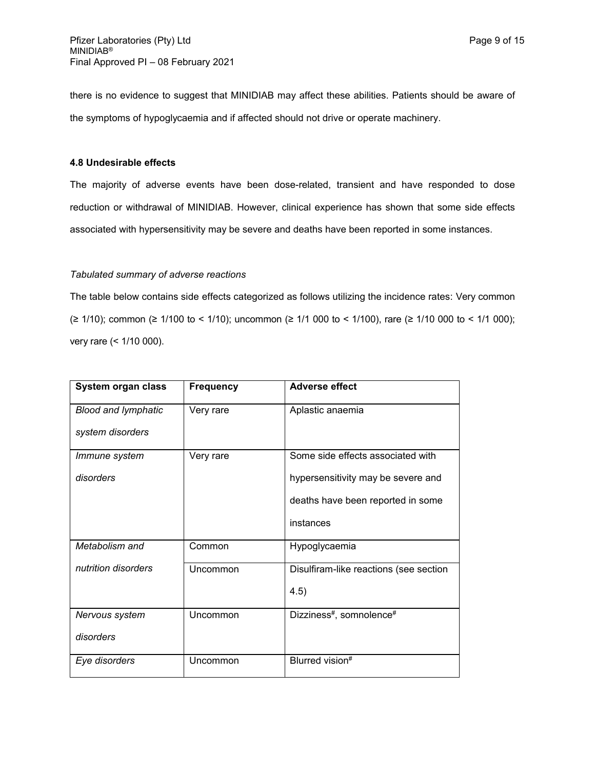there is no evidence to suggest that MINIDIAB may affect these abilities. Patients should be aware of the symptoms of hypoglycaemia and if affected should not drive or operate machinery.

### **4.8 Undesirable effects**

The majority of adverse events have been dose-related, transient and have responded to dose reduction or withdrawal of MINIDIAB. However, clinical experience has shown that some side effects associated with hypersensitivity may be severe and deaths have been reported in some instances.

#### *Tabulated summary of adverse reactions*

The table below contains side effects categorized as follows utilizing the incidence rates: Very common (≥ 1/10); common (≥ 1/100 to < 1/10); uncommon (≥ 1/1 000 to < 1/100), rare (≥ 1/10 000 to < 1/1 000); very rare (< 1/10 000).

| System organ class         | <b>Frequency</b> | <b>Adverse effect</b>                            |
|----------------------------|------------------|--------------------------------------------------|
| <b>Blood and lymphatic</b> | Very rare        | Aplastic anaemia                                 |
| system disorders           |                  |                                                  |
| Immune system              | Very rare        | Some side effects associated with                |
| disorders                  |                  | hypersensitivity may be severe and               |
|                            |                  | deaths have been reported in some                |
|                            |                  | instances                                        |
| Metabolism and             | Common           | Hypoglycaemia                                    |
| nutrition disorders        | Uncommon         | Disulfiram-like reactions (see section           |
|                            |                  | 4.5)                                             |
| Nervous system             | Uncommon         | Dizziness <sup>#</sup> , somnolence <sup>#</sup> |
| disorders                  |                  |                                                  |
| Eye disorders              | Uncommon         | Blurred vision#                                  |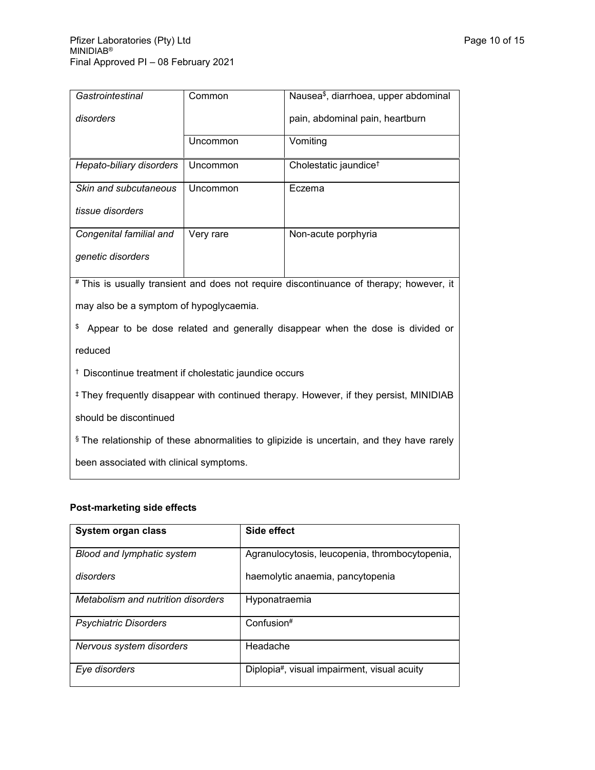| Gastrointestinal                                                                                  | Common    | Nausea <sup>\$</sup> , diarrhoea, upper abdominal |  |  |
|---------------------------------------------------------------------------------------------------|-----------|---------------------------------------------------|--|--|
| disorders                                                                                         |           | pain, abdominal pain, heartburn                   |  |  |
|                                                                                                   | Uncommon  | Vomiting                                          |  |  |
| Hepato-biliary disorders                                                                          | Uncommon  | Cholestatic jaundice <sup>†</sup>                 |  |  |
| Skin and subcutaneous                                                                             | Uncommon  | Eczema                                            |  |  |
| tissue disorders                                                                                  |           |                                                   |  |  |
| Congenital familial and                                                                           | Very rare | Non-acute porphyria                               |  |  |
| genetic disorders                                                                                 |           |                                                   |  |  |
| # This is usually transient and does not require discontinuance of therapy; however, it           |           |                                                   |  |  |
| may also be a symptom of hypoglycaemia.                                                           |           |                                                   |  |  |
| \$<br>Appear to be dose related and generally disappear when the dose is divided or               |           |                                                   |  |  |
| reduced                                                                                           |           |                                                   |  |  |
| <sup>†</sup> Discontinue treatment if cholestatic jaundice occurs                                 |           |                                                   |  |  |
| <sup>‡</sup> They frequently disappear with continued therapy. However, if they persist, MINIDIAB |           |                                                   |  |  |

should be discontinued

§ The relationship of these abnormalities to glipizide is uncertain, and they have rarely

been associated with clinical symptoms.

# **Post-marketing side effects**

| System organ class                 | Side effect                                    |
|------------------------------------|------------------------------------------------|
| Blood and lymphatic system         | Agranulocytosis, leucopenia, thrombocytopenia, |
| disorders                          | haemolytic anaemia, pancytopenia               |
| Metabolism and nutrition disorders | Hyponatraemia                                  |
| <b>Psychiatric Disorders</b>       | Confusion#                                     |
| Nervous system disorders           | Headache                                       |
| Eye disorders                      | Diplopia#, visual impairment, visual acuity    |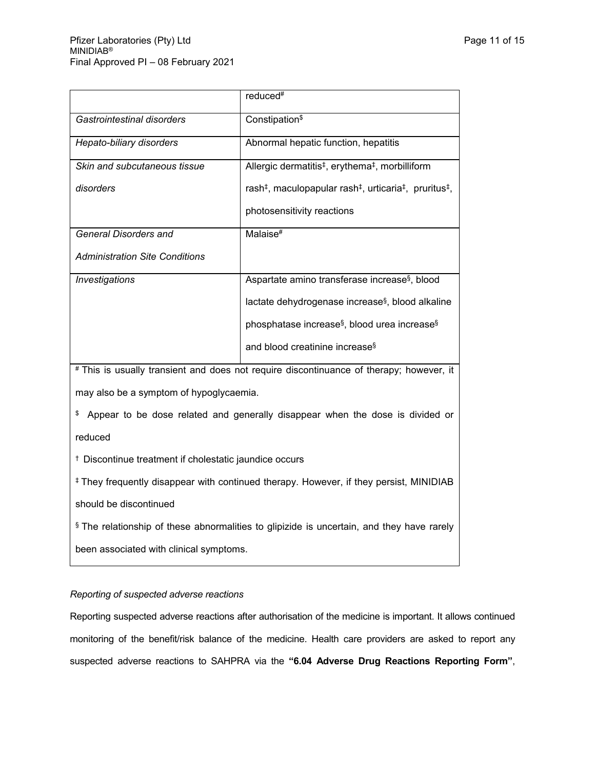|                                       | reduced <sup>#</sup>                                                                                   |
|---------------------------------------|--------------------------------------------------------------------------------------------------------|
| Gastrointestinal disorders            | Constipation <sup>\$</sup>                                                                             |
| Hepato-biliary disorders              | Abnormal hepatic function, hepatitis                                                                   |
| Skin and subcutaneous tissue          | Allergic dermatitis <sup>‡</sup> , erythema <sup>‡</sup> , morbilliform                                |
| disorders                             | rash <sup>‡</sup> , maculopapular rash <sup>‡</sup> , urticaria <sup>‡</sup> , pruritus <sup>‡</sup> , |
|                                       | photosensitivity reactions                                                                             |
| <b>General Disorders and</b>          | Malaise <sup>#</sup>                                                                                   |
| <b>Administration Site Conditions</b> |                                                                                                        |
| Investigations                        | Aspartate amino transferase increase <sup>§</sup> , blood                                              |
|                                       | lactate dehydrogenase increase <sup>§</sup> , blood alkaline                                           |
|                                       | phosphatase increase <sup>§</sup> , blood urea increase <sup>§</sup>                                   |
|                                       | and blood creatinine increase <sup>§</sup>                                                             |

# This is usually transient and does not require discontinuance of therapy; however, it may also be a symptom of hypoglycaemia.

\$ Appear to be dose related and generally disappear when the dose is divided or reduced

† Discontinue treatment if cholestatic jaundice occurs

‡ They frequently disappear with continued therapy. However, if they persist, MINIDIAB should be discontinued

- 
- § The relationship of these abnormalities to glipizide is uncertain, and they have rarely

been associated with clinical symptoms.

## *Reporting of suspected adverse reactions*

Reporting suspected adverse reactions after authorisation of the medicine is important. It allows continued monitoring of the benefit/risk balance of the medicine. Health care providers are asked to report any suspected adverse reactions to SAHPRA via the **"6.04 Adverse Drug Reactions Reporting Form"**,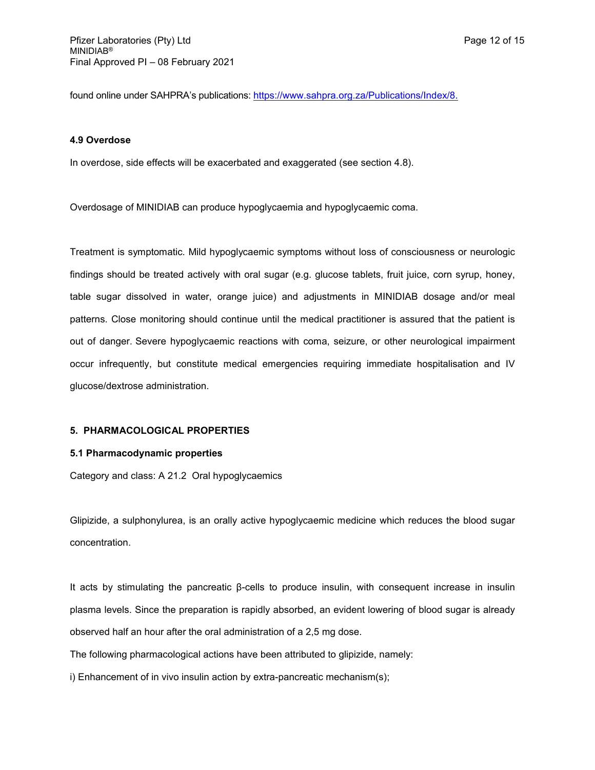found online under SAHPRA's publications: [https://www.sahpra.org.za/Publications/Index/8.](https://www.sahpra.org.za/Publications/Index/8)

#### **4.9 Overdose**

In overdose, side effects will be exacerbated and exaggerated (see section 4.8).

Overdosage of MINIDIAB can produce hypoglycaemia and hypoglycaemic coma.

Treatment is symptomatic. Mild hypoglycaemic symptoms without loss of consciousness or neurologic findings should be treated actively with oral sugar (e.g. glucose tablets, fruit juice, corn syrup, honey, table sugar dissolved in water, orange juice) and adjustments in MINIDIAB dosage and/or meal patterns. Close monitoring should continue until the medical practitioner is assured that the patient is out of danger. Severe hypoglycaemic reactions with coma, seizure, or other neurological impairment occur infrequently, but constitute medical emergencies requiring immediate hospitalisation and IV glucose/dextrose administration.

## **5. PHARMACOLOGICAL PROPERTIES**

#### **5.1 Pharmacodynamic properties**

Category and class: A 21.2 Oral hypoglycaemics

Glipizide, a sulphonylurea, is an orally active hypoglycaemic medicine which reduces the blood sugar concentration.

It acts by stimulating the pancreatic β-cells to produce insulin, with consequent increase in insulin plasma levels. Since the preparation is rapidly absorbed, an evident lowering of blood sugar is already observed half an hour after the oral administration of a 2,5 mg dose.

The following pharmacological actions have been attributed to glipizide, namely:

i) Enhancement of in vivo insulin action by extra-pancreatic mechanism(s);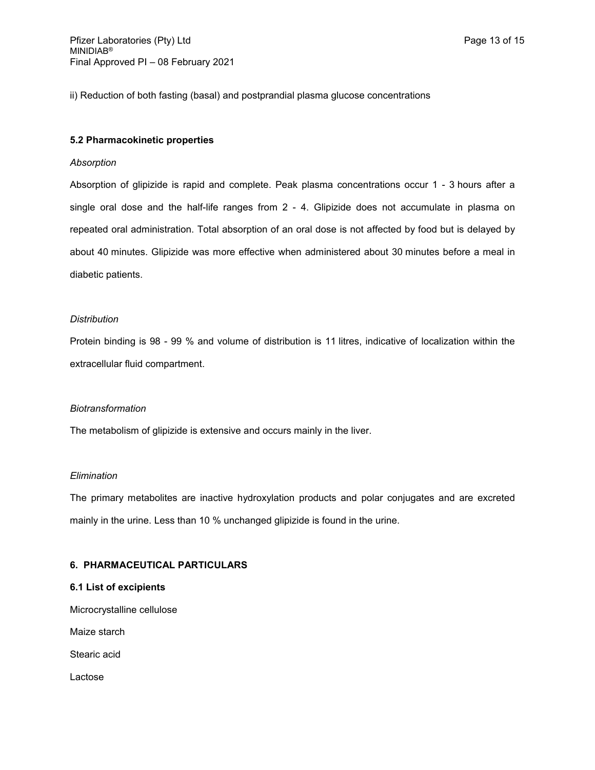ii) Reduction of both fasting (basal) and postprandial plasma glucose concentrations

## **5.2 Pharmacokinetic properties**

#### *Absorption*

Absorption of glipizide is rapid and complete. Peak plasma concentrations occur 1 - 3 hours after a single oral dose and the half-life ranges from 2 - 4. Glipizide does not accumulate in plasma on repeated oral administration. Total absorption of an oral dose is not affected by food but is delayed by about 40 minutes. Glipizide was more effective when administered about 30 minutes before a meal in diabetic patients.

#### *Distribution*

Protein binding is 98 - 99 % and volume of distribution is 11 litres, indicative of localization within the extracellular fluid compartment.

#### *Biotransformation*

The metabolism of glipizide is extensive and occurs mainly in the liver.

#### *Elimination*

The primary metabolites are inactive hydroxylation products and polar conjugates and are excreted mainly in the urine. Less than 10 % unchanged glipizide is found in the urine.

### **6. PHARMACEUTICAL PARTICULARS**

#### **6.1 List of excipients**

Microcrystalline cellulose

Maize starch

Stearic acid

Lactose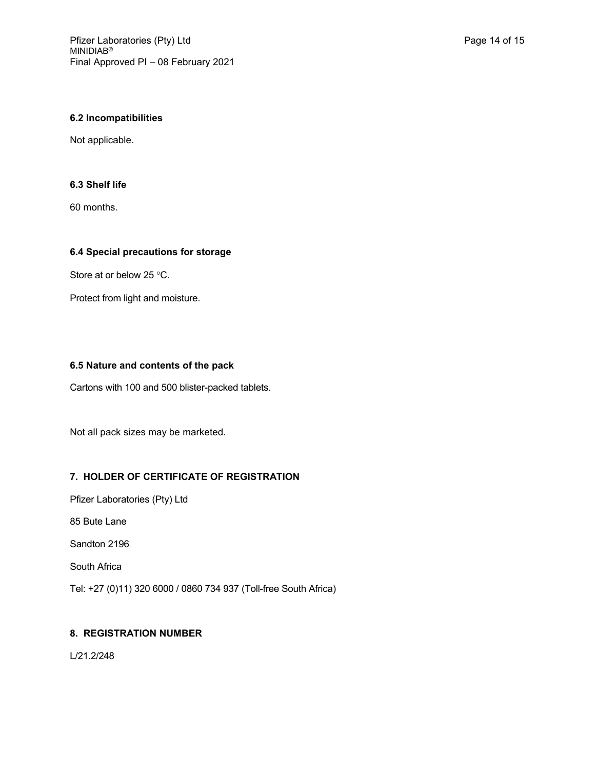## **6.2 Incompatibilities**

Not applicable.

## **6.3 Shelf life**

60 months.

## **6.4 Special precautions for storage**

Store at or below 25 °C.

Protect from light and moisture.

## **6.5 Nature and contents of the pack**

Cartons with 100 and 500 blister-packed tablets.

Not all pack sizes may be marketed.

## **7. HOLDER OF CERTIFICATE OF REGISTRATION**

Pfizer Laboratories (Pty) Ltd

85 Bute Lane

Sandton 2196

South Africa

Tel: +27 (0)11) 320 6000 / 0860 734 937 (Toll-free South Africa)

## **8. REGISTRATION NUMBER**

L/21.2/248